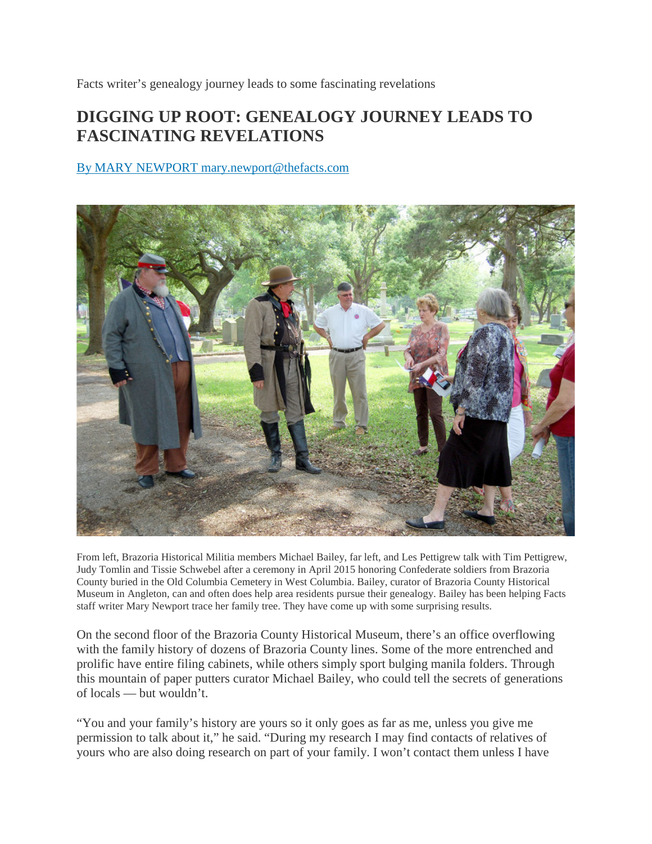Facts writer's genealogy journey leads to some fascinating revelations

## **DIGGING UP ROOT: GENEALOGY JOURNEY LEADS TO FASCINATING REVELATIONS**

## By MARY NEWPORT mary.newport@thefacts.com



From left, Brazoria Historical Militia members Michael Bailey, far left, and Les Pettigrew talk with Tim Pettigrew, Judy Tomlin and Tissie Schwebel after a ceremony in April 2015 honoring Confederate soldiers from Brazoria County buried in the Old Columbia Cemetery in West Columbia. Bailey, curator of Brazoria County Historical Museum in Angleton, can and often does help area residents pursue their genealogy. Bailey has been helping Facts staff writer Mary Newport trace her family tree. They have come up with some surprising results.

On the second floor of the Brazoria County Historical Museum, there's an office overflowing with the family history of dozens of Brazoria County lines. Some of the more entrenched and prolific have entire filing cabinets, while others simply sport bulging manila folders. Through this mountain of paper putters curator Michael Bailey, who could tell the secrets of generations of locals — but wouldn't.

"You and your family's history are yours so it only goes as far as me, unless you give me permission to talk about it," he said. "During my research I may find contacts of relatives of yours who are also doing research on part of your family. I won't contact them unless I have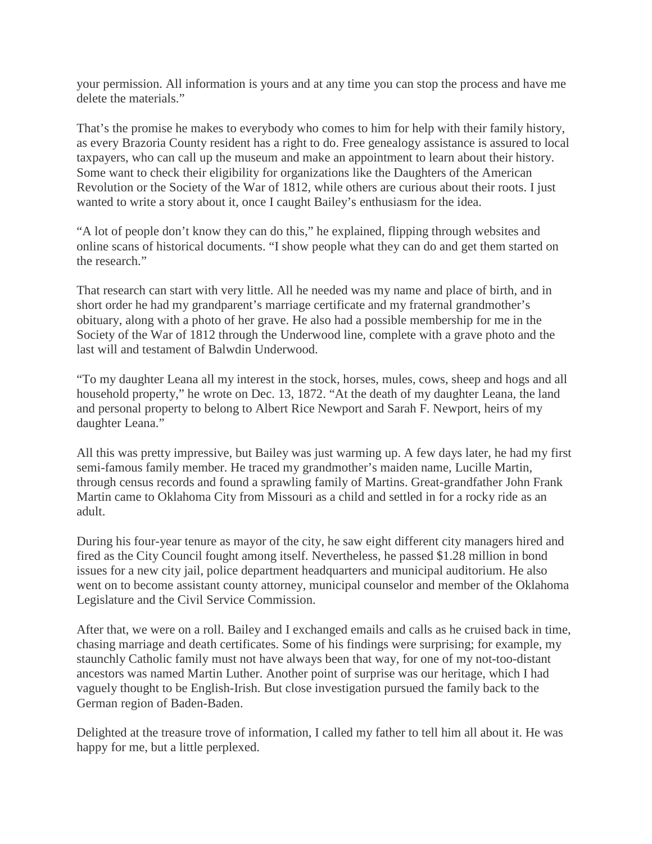your permission. All information is yours and at any time you can stop the process and have me delete the materials."

That's the promise he makes to everybody who comes to him for help with their family history, as every Brazoria County resident has a right to do. Free genealogy assistance is assured to local taxpayers, who can call up the museum and make an appointment to learn about their history. Some want to check their eligibility for organizations like the Daughters of the American Revolution or the Society of the War of 1812, while others are curious about their roots. I just wanted to write a story about it, once I caught Bailey's enthusiasm for the idea.

"A lot of people don't know they can do this," he explained, flipping through websites and online scans of historical documents. "I show people what they can do and get them started on the research."

That research can start with very little. All he needed was my name and place of birth, and in short order he had my grandparent's marriage certificate and my fraternal grandmother's obituary, along with a photo of her grave. He also had a possible membership for me in the Society of the War of 1812 through the Underwood line, complete with a grave photo and the last will and testament of Balwdin Underwood.

"To my daughter Leana all my interest in the stock, horses, mules, cows, sheep and hogs and all household property," he wrote on Dec. 13, 1872. "At the death of my daughter Leana, the land and personal property to belong to Albert Rice Newport and Sarah F. Newport, heirs of my daughter Leana."

All this was pretty impressive, but Bailey was just warming up. A few days later, he had my first semi-famous family member. He traced my grandmother's maiden name, Lucille Martin, through census records and found a sprawling family of Martins. Great-grandfather John Frank Martin came to Oklahoma City from Missouri as a child and settled in for a rocky ride as an adult.

During his four-year tenure as mayor of the city, he saw eight different city managers hired and fired as the City Council fought among itself. Nevertheless, he passed \$1.28 million in bond issues for a new city jail, police department headquarters and municipal auditorium. He also went on to become assistant county attorney, municipal counselor and member of the Oklahoma Legislature and the Civil Service Commission.

After that, we were on a roll. Bailey and I exchanged emails and calls as he cruised back in time, chasing marriage and death certificates. Some of his findings were surprising; for example, my staunchly Catholic family must not have always been that way, for one of my not-too-distant ancestors was named Martin Luther. Another point of surprise was our heritage, which I had vaguely thought to be English-Irish. But close investigation pursued the family back to the German region of Baden-Baden.

Delighted at the treasure trove of information, I called my father to tell him all about it. He was happy for me, but a little perplexed.